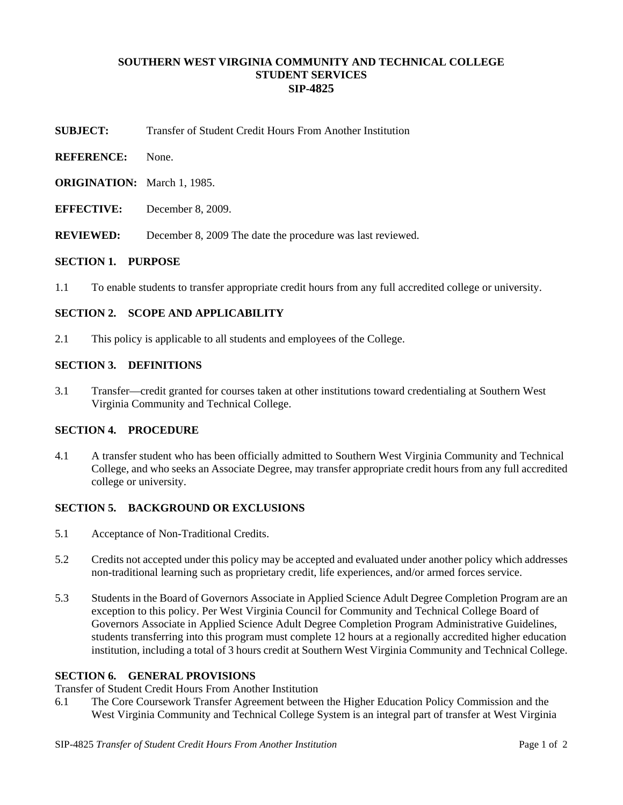## **SOUTHERN WEST VIRGINIA COMMUNITY AND TECHNICAL COLLEGE STUDENT SERVICES SIP-4825**

- **SUBJECT:** Transfer of Student Credit Hours From Another Institution
- **REFERENCE:** None.
- **ORIGINATION:** March 1, 1985.
- **EFFECTIVE:** December 8, 2009.
- **REVIEWED:** December 8, 2009 The date the procedure was last reviewed.

### **SECTION 1. PURPOSE**

1.1 To enable students to transfer appropriate credit hours from any full accredited college or university.

# **SECTION 2. SCOPE AND APPLICABILITY**

2.1 This policy is applicable to all students and employees of the College.

### **SECTION 3. DEFINITIONS**

3.1 Transfer—credit granted for courses taken at other institutions toward credentialing at Southern West Virginia Community and Technical College.

### **SECTION 4. PROCEDURE**

4.1 A transfer student who has been officially admitted to Southern West Virginia Community and Technical College, and who seeks an Associate Degree, may transfer appropriate credit hours from any full accredited college or university.

#### **SECTION 5. BACKGROUND OR EXCLUSIONS**

- 5.1 Acceptance of Non-Traditional Credits.
- 5.2 Credits not accepted under this policy may be accepted and evaluated under another policy which addresses non-traditional learning such as proprietary credit, life experiences, and/or armed forces service.
- 5.3 Students in the Board of Governors Associate in Applied Science Adult Degree Completion Program are an exception to this policy. Per West Virginia Council for Community and Technical College Board of Governors Associate in Applied Science Adult Degree Completion Program Administrative Guidelines, students transferring into this program must complete 12 hours at a regionally accredited higher education institution, including a total of 3 hours credit at Southern West Virginia Community and Technical College.

## **SECTION 6. GENERAL PROVISIONS**

Transfer of Student Credit Hours From Another Institution

6.1 The Core Coursework Transfer Agreement between the Higher Education Policy Commission and the West Virginia Community and Technical College System is an integral part of transfer at West Virginia